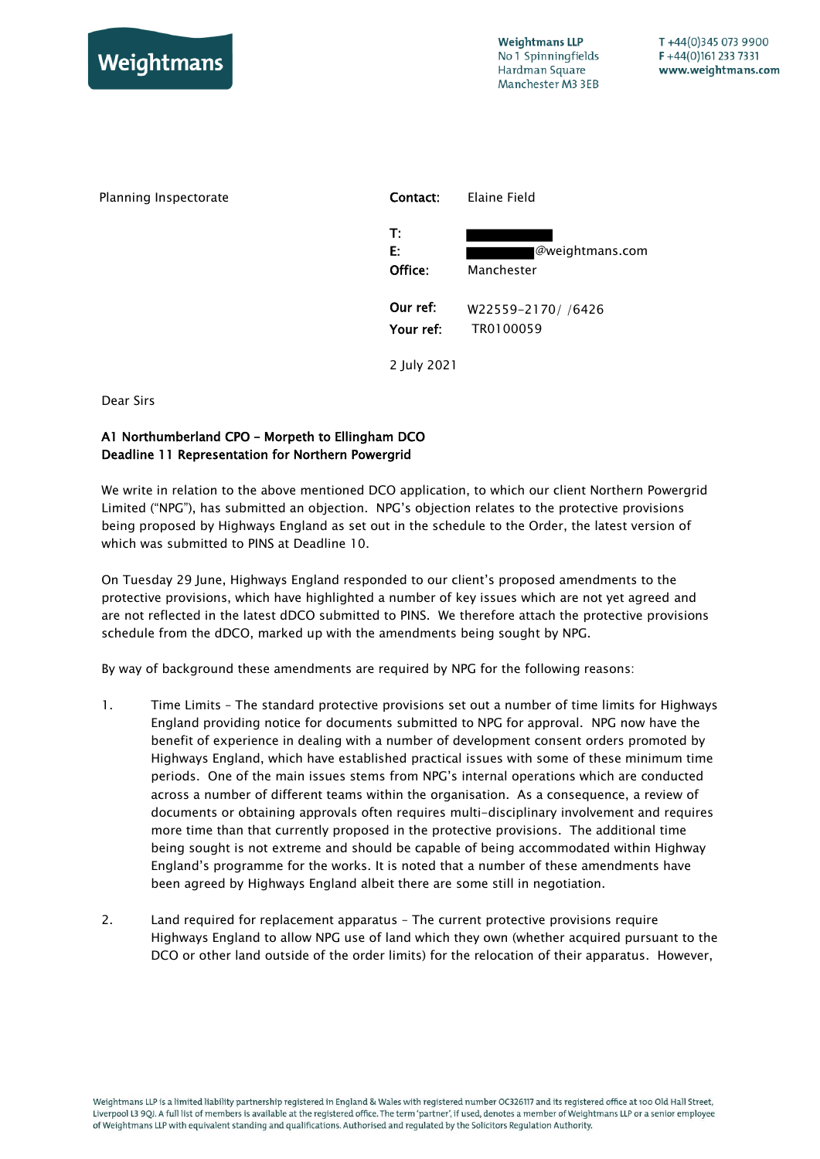



2 July 2021

Dear Sirs

## A1 Northumberland CPO – Morpeth to Ellingham DCO Deadline 11 Representation for Northern Powergrid

We write in relation to the above mentioned DCO application, to which our client Northern Powergrid Limited ("NPG"), has submitted an objection. NPG's objection relates to the protective provisions being proposed by Highways England as set out in the schedule to the Order, the latest version of which was submitted to PINS at Deadline 10.

On Tuesday 29 June, Highways England responded to our client's proposed amendments to the protective provisions, which have highlighted a number of key issues which are not yet agreed and are not reflected in the latest dDCO submitted to PINS. We therefore attach the protective provisions schedule from the dDCO, marked up with the amendments being sought by NPG.

By way of background these amendments are required by NPG for the following reasons:

- 1. Time Limits The standard protective provisions set out a number of time limits for Highways England providing notice for documents submitted to NPG for approval. NPG now have the benefit of experience in dealing with a number of development consent orders promoted by Highways England, which have established practical issues with some of these minimum time periods. One of the main issues stems from NPG's internal operations which are conducted across a number of different teams within the organisation. As a consequence, a review of documents or obtaining approvals often requires multi-disciplinary involvement and requires more time than that currently proposed in the protective provisions. The additional time being sought is not extreme and should be capable of being accommodated within Highway England's programme for the works. It is noted that a number of these amendments have been agreed by Highways England albeit there are some still in negotiation.
- 2. Land required for replacement apparatus The current protective provisions require Highways England to allow NPG use of land which they own (whether acquired pursuant to the DCO or other land outside of the order limits) for the relocation of their apparatus. However,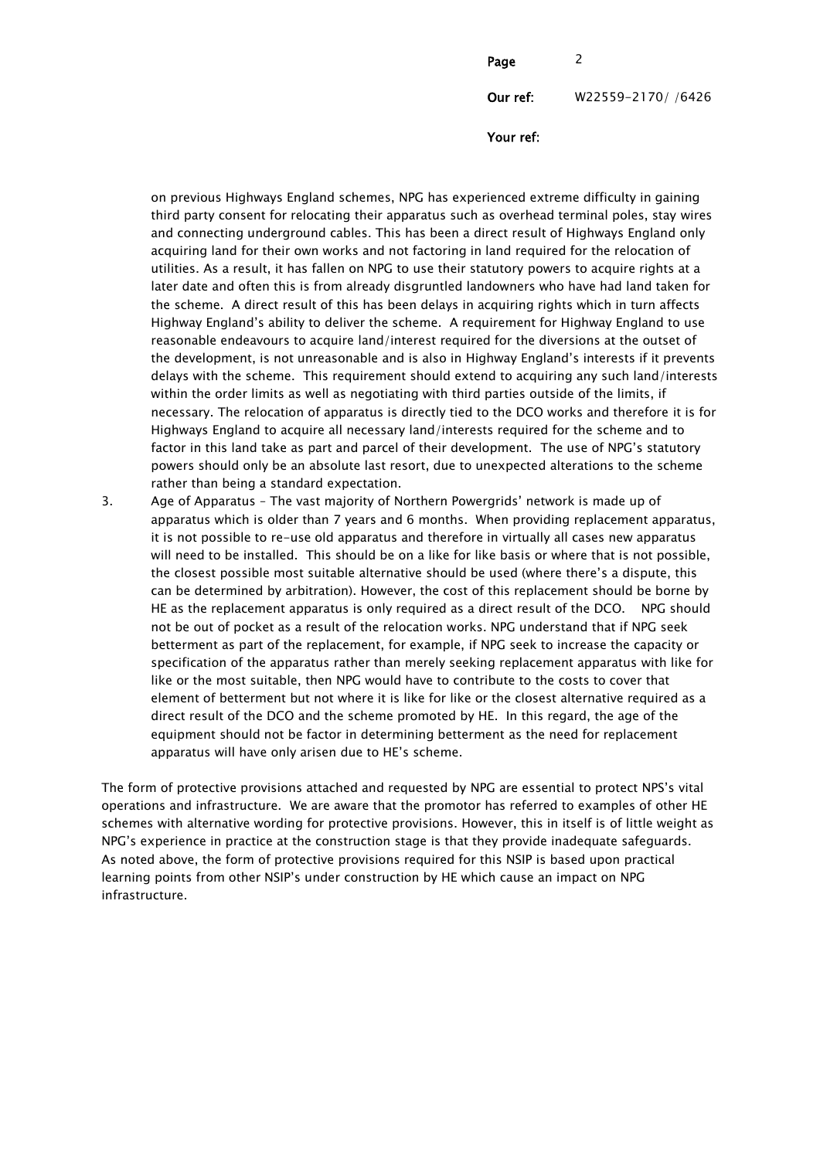| Page      | $\mathcal{P}$     |
|-----------|-------------------|
| Our ref:  | W22559-2170//6426 |
| Your ref: |                   |

on previous Highways England schemes, NPG has experienced extreme difficulty in gaining third party consent for relocating their apparatus such as overhead terminal poles, stay wires and connecting underground cables. This has been a direct result of Highways England only acquiring land for their own works and not factoring in land required for the relocation of utilities. As a result, it has fallen on NPG to use their statutory powers to acquire rights at a later date and often this is from already disgruntled landowners who have had land taken for the scheme. A direct result of this has been delays in acquiring rights which in turn affects Highway England's ability to deliver the scheme. A requirement for Highway England to use reasonable endeavours to acquire land/interest required for the diversions at the outset of the development, is not unreasonable and is also in Highway England's interests if it prevents delays with the scheme. This requirement should extend to acquiring any such land/interests within the order limits as well as negotiating with third parties outside of the limits, if necessary. The relocation of apparatus is directly tied to the DCO works and therefore it is for Highways England to acquire all necessary land/interests required for the scheme and to factor in this land take as part and parcel of their development. The use of NPG's statutory powers should only be an absolute last resort, due to unexpected alterations to the scheme rather than being a standard expectation.

3. Age of Apparatus – The vast majority of Northern Powergrids' network is made up of apparatus which is older than 7 years and 6 months. When providing replacement apparatus, it is not possible to re-use old apparatus and therefore in virtually all cases new apparatus will need to be installed. This should be on a like for like basis or where that is not possible, the closest possible most suitable alternative should be used (where there's a dispute, this can be determined by arbitration). However, the cost of this replacement should be borne by HE as the replacement apparatus is only required as a direct result of the DCO. NPG should not be out of pocket as a result of the relocation works. NPG understand that if NPG seek betterment as part of the replacement, for example, if NPG seek to increase the capacity or specification of the apparatus rather than merely seeking replacement apparatus with like for like or the most suitable, then NPG would have to contribute to the costs to cover that element of betterment but not where it is like for like or the closest alternative required as a direct result of the DCO and the scheme promoted by HE. In this regard, the age of the equipment should not be factor in determining betterment as the need for replacement apparatus will have only arisen due to HE's scheme.

The form of protective provisions attached and requested by NPG are essential to protect NPS's vital operations and infrastructure. We are aware that the promotor has referred to examples of other HE schemes with alternative wording for protective provisions. However, this in itself is of little weight as NPG's experience in practice at the construction stage is that they provide inadequate safeguards. As noted above, the form of protective provisions required for this NSIP is based upon practical learning points from other NSIP's under construction by HE which cause an impact on NPG infrastructure.